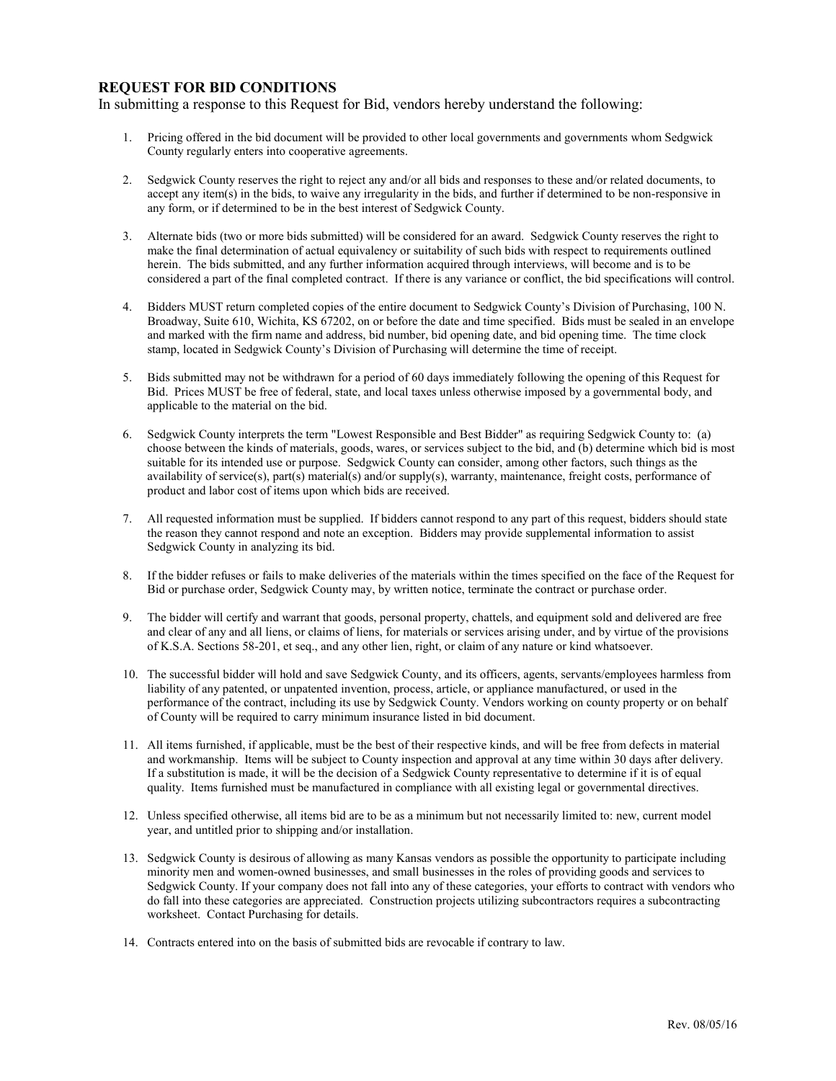## **REQUEST FOR BID CONDITIONS**

In submitting a response to this Request for Bid, vendors hereby understand the following:

- 1. Pricing offered in the bid document will be provided to other local governments and governments whom Sedgwick County regularly enters into cooperative agreements.
- 2. Sedgwick County reserves the right to reject any and/or all bids and responses to these and/or related documents, to accept any item(s) in the bids, to waive any irregularity in the bids, and further if determined to be non-responsive in any form, or if determined to be in the best interest of Sedgwick County.
- 3. Alternate bids (two or more bids submitted) will be considered for an award. Sedgwick County reserves the right to make the final determination of actual equivalency or suitability of such bids with respect to requirements outlined herein. The bids submitted, and any further information acquired through interviews, will become and is to be considered a part of the final completed contract. If there is any variance or conflict, the bid specifications will control.
- 4. Bidders MUST return completed copies of the entire document to Sedgwick County's Division of Purchasing, 100 N. Broadway, Suite 610, Wichita, KS 67202, on or before the date and time specified. Bids must be sealed in an envelope and marked with the firm name and address, bid number, bid opening date, and bid opening time. The time clock stamp, located in Sedgwick County's Division of Purchasing will determine the time of receipt.
- 5. Bids submitted may not be withdrawn for a period of 60 days immediately following the opening of this Request for Bid. Prices MUST be free of federal, state, and local taxes unless otherwise imposed by a governmental body, and applicable to the material on the bid.
- 6. Sedgwick County interprets the term "Lowest Responsible and Best Bidder" as requiring Sedgwick County to: (a) choose between the kinds of materials, goods, wares, or services subject to the bid, and (b) determine which bid is most suitable for its intended use or purpose. Sedgwick County can consider, among other factors, such things as the availability of service(s), part(s) material(s) and/or supply(s), warranty, maintenance, freight costs, performance of product and labor cost of items upon which bids are received.
- 7. All requested information must be supplied. If bidders cannot respond to any part of this request, bidders should state the reason they cannot respond and note an exception. Bidders may provide supplemental information to assist Sedgwick County in analyzing its bid.
- 8. If the bidder refuses or fails to make deliveries of the materials within the times specified on the face of the Request for Bid or purchase order, Sedgwick County may, by written notice, terminate the contract or purchase order.
- 9. The bidder will certify and warrant that goods, personal property, chattels, and equipment sold and delivered are free and clear of any and all liens, or claims of liens, for materials or services arising under, and by virtue of the provisions of K.S.A. Sections 58-201, et seq., and any other lien, right, or claim of any nature or kind whatsoever.
- 10. The successful bidder will hold and save Sedgwick County, and its officers, agents, servants/employees harmless from liability of any patented, or unpatented invention, process, article, or appliance manufactured, or used in the performance of the contract, including its use by Sedgwick County. Vendors working on county property or on behalf of County will be required to carry minimum insurance listed in bid document.
- 11. All items furnished, if applicable, must be the best of their respective kinds, and will be free from defects in material and workmanship. Items will be subject to County inspection and approval at any time within 30 days after delivery. If a substitution is made, it will be the decision of a Sedgwick County representative to determine if it is of equal quality. Items furnished must be manufactured in compliance with all existing legal or governmental directives.
- 12. Unless specified otherwise, all items bid are to be as a minimum but not necessarily limited to: new, current model year, and untitled prior to shipping and/or installation.
- 13. Sedgwick County is desirous of allowing as many Kansas vendors as possible the opportunity to participate including minority men and women-owned businesses, and small businesses in the roles of providing goods and services to Sedgwick County. If your company does not fall into any of these categories, your efforts to contract with vendors who do fall into these categories are appreciated. Construction projects utilizing subcontractors requires a subcontracting worksheet. Contact Purchasing for details.
- 14. Contracts entered into on the basis of submitted bids are revocable if contrary to law.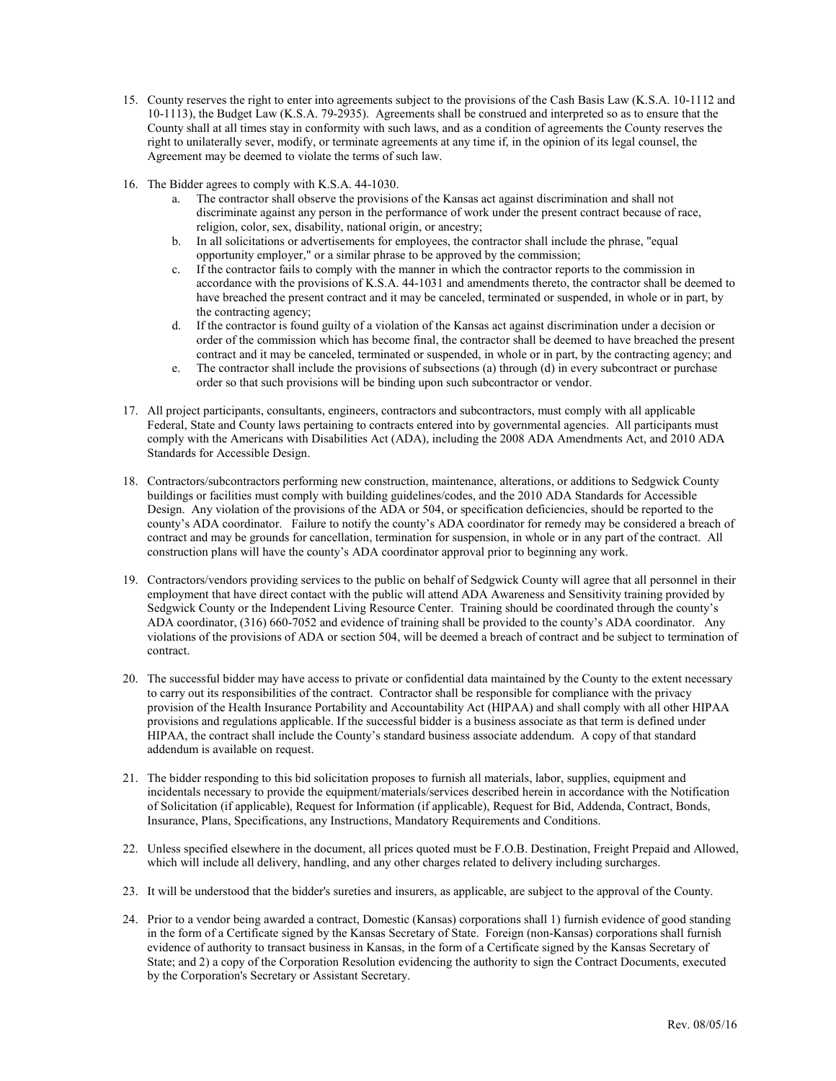- 15. County reserves the right to enter into agreements subject to the provisions of the Cash Basis Law (K.S.A. 10-1112 and 10-1113), the Budget Law (K.S.A. 79-2935). Agreements shall be construed and interpreted so as to ensure that the County shall at all times stay in conformity with such laws, and as a condition of agreements the County reserves the right to unilaterally sever, modify, or terminate agreements at any time if, in the opinion of its legal counsel, the Agreement may be deemed to violate the terms of such law.
- 16. The Bidder agrees to comply with K.S.A. 44-1030.
	- a. The contractor shall observe the provisions of the Kansas act against discrimination and shall not discriminate against any person in the performance of work under the present contract because of race, religion, color, sex, disability, national origin, or ancestry;
	- b. In all solicitations or advertisements for employees, the contractor shall include the phrase, "equal opportunity employer," or a similar phrase to be approved by the commission;
	- c. If the contractor fails to comply with the manner in which the contractor reports to the commission in accordance with the provisions of K.S.A. 44-1031 and amendments thereto, the contractor shall be deemed to have breached the present contract and it may be canceled, terminated or suspended, in whole or in part, by the contracting agency;
	- d. If the contractor is found guilty of a violation of the Kansas act against discrimination under a decision or order of the commission which has become final, the contractor shall be deemed to have breached the present contract and it may be canceled, terminated or suspended, in whole or in part, by the contracting agency; and
	- e. The contractor shall include the provisions of subsections (a) through (d) in every subcontract or purchase order so that such provisions will be binding upon such subcontractor or vendor.
- 17. All project participants, consultants, engineers, contractors and subcontractors, must comply with all applicable Federal, State and County laws pertaining to contracts entered into by governmental agencies. All participants must comply with the Americans with Disabilities Act (ADA), including the 2008 ADA Amendments Act, and 2010 ADA Standards for Accessible Design.
- 18. Contractors/subcontractors performing new construction, maintenance, alterations, or additions to Sedgwick County buildings or facilities must comply with building guidelines/codes, and the 2010 ADA Standards for Accessible Design. Any violation of the provisions of the ADA or 504, or specification deficiencies, should be reported to the county's ADA coordinator. Failure to notify the county's ADA coordinator for remedy may be considered a breach of contract and may be grounds for cancellation, termination for suspension, in whole or in any part of the contract. All construction plans will have the county's ADA coordinator approval prior to beginning any work.
- 19. Contractors/vendors providing services to the public on behalf of Sedgwick County will agree that all personnel in their employment that have direct contact with the public will attend ADA Awareness and Sensitivity training provided by Sedgwick County or the Independent Living Resource Center. Training should be coordinated through the county's ADA coordinator, (316) 660-7052 and evidence of training shall be provided to the county's ADA coordinator. Any violations of the provisions of ADA or section 504, will be deemed a breach of contract and be subject to termination of contract.
- 20. The successful bidder may have access to private or confidential data maintained by the County to the extent necessary to carry out its responsibilities of the contract. Contractor shall be responsible for compliance with the privacy provision of the Health Insurance Portability and Accountability Act (HIPAA) and shall comply with all other HIPAA provisions and regulations applicable. If the successful bidder is a business associate as that term is defined under HIPAA, the contract shall include the County's standard business associate addendum. A copy of that standard addendum is available on request.
- 21. The bidder responding to this bid solicitation proposes to furnish all materials, labor, supplies, equipment and incidentals necessary to provide the equipment/materials/services described herein in accordance with the Notification of Solicitation (if applicable), Request for Information (if applicable), Request for Bid, Addenda, Contract, Bonds, Insurance, Plans, Specifications, any Instructions, Mandatory Requirements and Conditions.
- 22. Unless specified elsewhere in the document, all prices quoted must be F.O.B. Destination, Freight Prepaid and Allowed, which will include all delivery, handling, and any other charges related to delivery including surcharges.
- 23. It will be understood that the bidder's sureties and insurers, as applicable, are subject to the approval of the County.
- 24. Prior to a vendor being awarded a contract, Domestic (Kansas) corporations shall 1) furnish evidence of good standing in the form of a Certificate signed by the Kansas Secretary of State. Foreign (non-Kansas) corporations shall furnish evidence of authority to transact business in Kansas, in the form of a Certificate signed by the Kansas Secretary of State; and 2) a copy of the Corporation Resolution evidencing the authority to sign the Contract Documents, executed by the Corporation's Secretary or Assistant Secretary.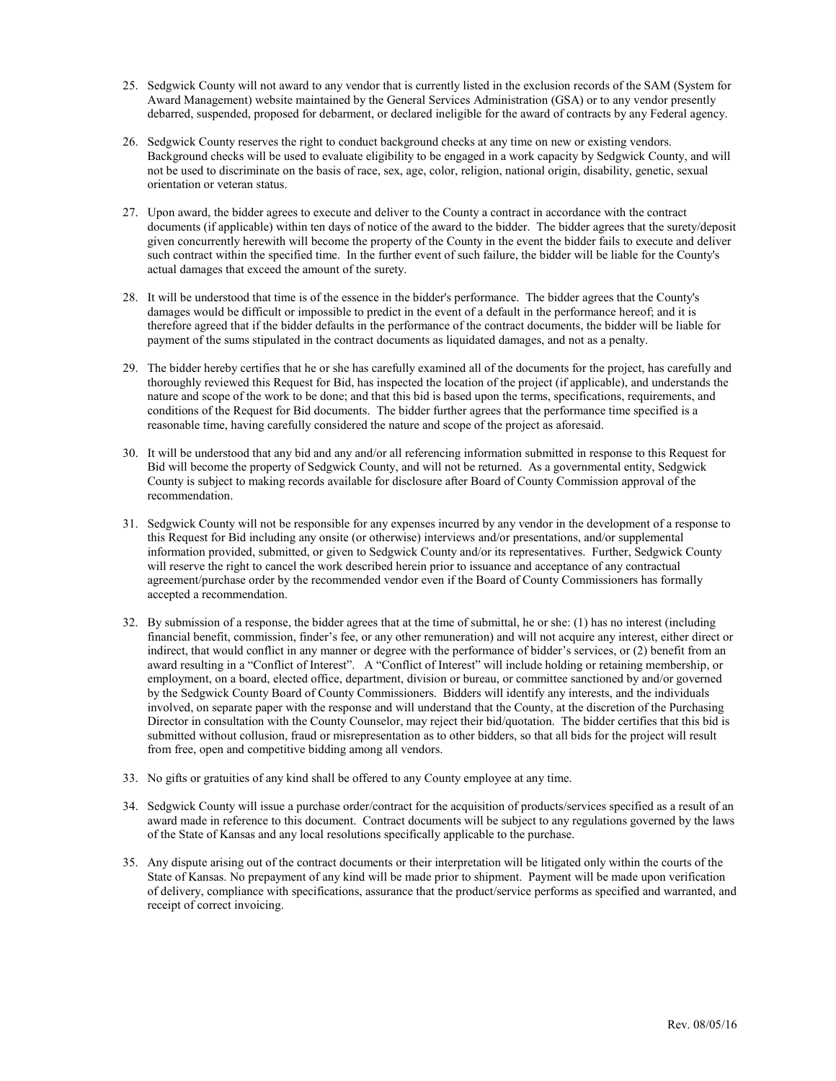- 25. Sedgwick County will not award to any vendor that is currently listed in the exclusion records of the SAM (System for Award Management) website maintained by the General Services Administration (GSA) or to any vendor presently debarred, suspended, proposed for debarment, or declared ineligible for the award of contracts by any Federal agency.
- 26. Sedgwick County reserves the right to conduct background checks at any time on new or existing vendors. Background checks will be used to evaluate eligibility to be engaged in a work capacity by Sedgwick County, and will not be used to discriminate on the basis of race, sex, age, color, religion, national origin, disability, genetic, sexual orientation or veteran status.
- 27. Upon award, the bidder agrees to execute and deliver to the County a contract in accordance with the contract documents (if applicable) within ten days of notice of the award to the bidder. The bidder agrees that the surety/deposit given concurrently herewith will become the property of the County in the event the bidder fails to execute and deliver such contract within the specified time. In the further event of such failure, the bidder will be liable for the County's actual damages that exceed the amount of the surety.
- 28. It will be understood that time is of the essence in the bidder's performance. The bidder agrees that the County's damages would be difficult or impossible to predict in the event of a default in the performance hereof; and it is therefore agreed that if the bidder defaults in the performance of the contract documents, the bidder will be liable for payment of the sums stipulated in the contract documents as liquidated damages, and not as a penalty.
- 29. The bidder hereby certifies that he or she has carefully examined all of the documents for the project, has carefully and thoroughly reviewed this Request for Bid, has inspected the location of the project (if applicable), and understands the nature and scope of the work to be done; and that this bid is based upon the terms, specifications, requirements, and conditions of the Request for Bid documents. The bidder further agrees that the performance time specified is a reasonable time, having carefully considered the nature and scope of the project as aforesaid.
- 30. It will be understood that any bid and any and/or all referencing information submitted in response to this Request for Bid will become the property of Sedgwick County, and will not be returned. As a governmental entity, Sedgwick County is subject to making records available for disclosure after Board of County Commission approval of the recommendation.
- 31. Sedgwick County will not be responsible for any expenses incurred by any vendor in the development of a response to this Request for Bid including any onsite (or otherwise) interviews and/or presentations, and/or supplemental information provided, submitted, or given to Sedgwick County and/or its representatives. Further, Sedgwick County will reserve the right to cancel the work described herein prior to issuance and acceptance of any contractual agreement/purchase order by the recommended vendor even if the Board of County Commissioners has formally accepted a recommendation.
- 32. By submission of a response, the bidder agrees that at the time of submittal, he or she: (1) has no interest (including financial benefit, commission, finder's fee, or any other remuneration) and will not acquire any interest, either direct or indirect, that would conflict in any manner or degree with the performance of bidder's services, or (2) benefit from an award resulting in a "Conflict of Interest". A "Conflict of Interest" will include holding or retaining membership, or employment, on a board, elected office, department, division or bureau, or committee sanctioned by and/or governed by the Sedgwick County Board of County Commissioners. Bidders will identify any interests, and the individuals involved, on separate paper with the response and will understand that the County, at the discretion of the Purchasing Director in consultation with the County Counselor, may reject their bid/quotation. The bidder certifies that this bid is submitted without collusion, fraud or misrepresentation as to other bidders, so that all bids for the project will result from free, open and competitive bidding among all vendors.
- 33. No gifts or gratuities of any kind shall be offered to any County employee at any time.
- 34. Sedgwick County will issue a purchase order/contract for the acquisition of products/services specified as a result of an award made in reference to this document. Contract documents will be subject to any regulations governed by the laws of the State of Kansas and any local resolutions specifically applicable to the purchase.
- 35. Any dispute arising out of the contract documents or their interpretation will be litigated only within the courts of the State of Kansas. No prepayment of any kind will be made prior to shipment. Payment will be made upon verification of delivery, compliance with specifications, assurance that the product/service performs as specified and warranted, and receipt of correct invoicing.